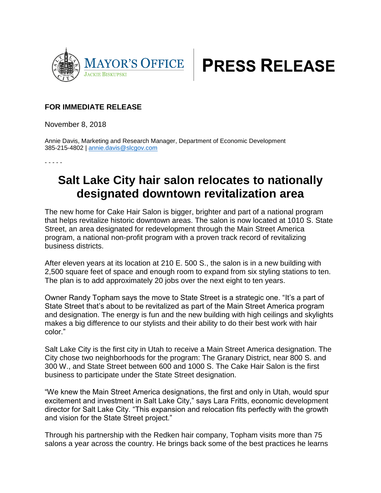



## **FOR IMMEDIATE RELEASE**

November 8, 2018

Annie Davis, Marketing and Research Manager, Department of Economic Development 385-215-4802 | [annie.davis@slcgov.com](mailto:annie.davis@slcgov.com)

- - - - -

## **Salt Lake City hair salon relocates to nationally designated downtown revitalization area**

The new home for Cake Hair Salon is bigger, brighter and part of a national program that helps revitalize historic downtown areas. The salon is now located at 1010 S. State Street, an area designated for redevelopment through the Main Street America program, a national non-profit program with a proven track record of revitalizing business districts.

After eleven years at its location at 210 E. 500 S., the salon is in a new building with 2,500 square feet of space and enough room to expand from six styling stations to ten. The plan is to add approximately 20 jobs over the next eight to ten years.

Owner Randy Topham says the move to State Street is a strategic one. "It's a part of State Street that's about to be revitalized as part of the Main Street America program and designation. The energy is fun and the new building with high ceilings and skylights makes a big difference to our stylists and their ability to do their best work with hair color."

Salt Lake City is the first city in Utah to receive a Main Street America designation. The City chose two neighborhoods for the program: The Granary District, near 800 S. and 300 W., and State Street between 600 and 1000 S. The Cake Hair Salon is the first business to participate under the State Street designation.

"We knew the Main Street America designations, the first and only in Utah, would spur excitement and investment in Salt Lake City," says Lara Fritts, economic development director for Salt Lake City. "This expansion and relocation fits perfectly with the growth and vision for the State Street project."

Through his partnership with the Redken hair company, Topham visits more than 75 salons a year across the country. He brings back some of the best practices he learns